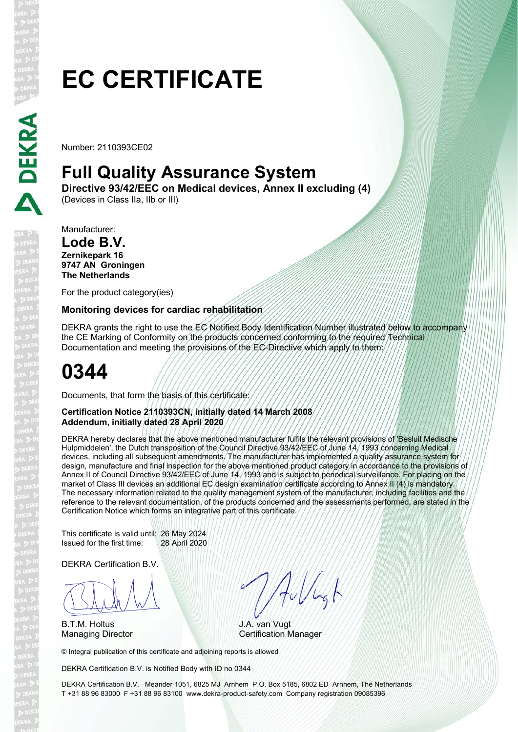# **EC CERTIFICATE**

Number: 2110393CE02

### **Full Quality Assurance System**

**Directive 93/42/EEC on Medical devices, Annex II excluding (4)** 

(Devices in Class IIa, IIb or III)

Manufacturer:

#### **Lode B.V. Zernikepark 16 9747 AN Groningen The Netherlands**

For the product category(ies)

### **Monitoring devices for cardiac rehabilitation**

DEKRA grants the right to use the EC Notified Body Identification Number illustrated below to accompany the CE Marking of Conformity on the products concerned conforming to the required Technical Documentation and meeting the provisions of the EC-Directive which apply to them:

## **0344**

Documents, that form the basis of this certificate:

#### **Certification Notice 2110393CN, initially dated 14 March 2008 Addendum, initially dated 28 April 2020**

DEKRA hereby declares that the above mentioned manufacturer fulfils the relevant provisions of 'Besluit Medische Hulpmiddelen', the Dutch transposition of the Council Directive 93/42/EEC of June 14, 1993 concerning Medical devices, including all subsequent amendments. The manufacturer has implemented a quality assurance system for design, manufacture and final inspection for the above mentioned product category in accordance to the provisions of Annex II of Council Directive 93/42/EEC of June 14, 1993 and is subject to periodical surveillance. For placing on the market of Class III devices an additional EC design examination certificate according to Annex II (4) is mandatory. The necessary information related to the quality management system of the manufacturer, including facilities and the reference to the relevant documentation, of the products concerned and the assessments performed, are stated in the Certification Notice which forms an integrative part of this certificate.

This certificate is valid until: 26 May 2024 Issued for the first time: 28 April 2020

DEKRA Certification B.V.

BLAN

B.T.M. Holtus

Aulugh

J.A. van Vugt Managing Director **Certification Manager** 

© Integral publication of this certificate and adjoining reports is allowed

DEKRA Certification B.V. is Notified Body with ID no 0344

DEKRA Certification B.V. Meander 1051, 6825 MJ Arnhem P.O. Box 5185, 6802 ED Arnhem, The Netherlands T +31 88 96 83000 F +31 88 96 83100 www.dekra-product-safety.com Company registration 09085396